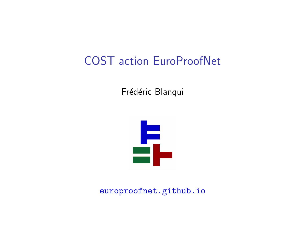## COST action EuroProofNet

Frédéric Blanqui



europroofnet.github.io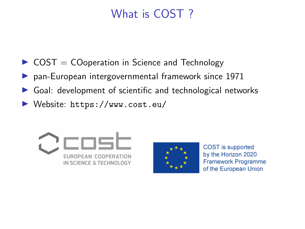## What is COST ?

- $\triangleright$  COST = COoperation in Science and Technology
- $\triangleright$  pan-European intergovernmental framework since 1971
- $\triangleright$  Goal: development of scientific and technological networks
- ▶ Website: https://www.cost.eu/





COST is supported by the Horizon 2020 **Framework Programme** of the European Union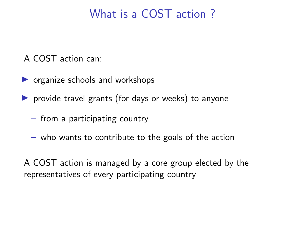## What is a COST action ?

A COST action can:

- $\triangleright$  organize schools and workshops
- $\triangleright$  provide travel grants (for days or weeks) to anyone
	- from a participating country
	- who wants to contribute to the goals of the action

A COST action is managed by a core group elected by the representatives of every participating country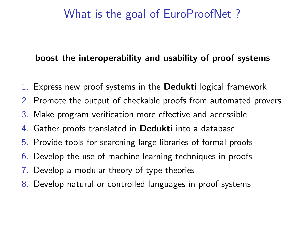## What is the goal of EuroProofNet ?

#### boost the interoperability and usability of proof systems

- 1. Express new proof systems in the Dedukti logical framework
- 2. Promote the output of checkable proofs from automated provers
- 3. Make program verification more effective and accessible
- 4. Gather proofs translated in Dedukti into a database
- 5. Provide tools for searching large libraries of formal proofs
- 6. Develop the use of machine learning techniques in proofs
- 7. Develop a modular theory of type theories
- 8. Develop natural or controlled languages in proof systems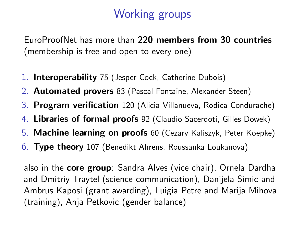# Working groups

EuroProofNet has more than 220 members from 30 countries (membership is free and open to every one)

- 1. Interoperability 75 (Jesper Cock, Catherine Dubois)
- 2. Automated provers 83 (Pascal Fontaine, Alexander Steen)
- 3. Program verification 120 (Alicia Villanueva, Rodica Condurache)
- 4. Libraries of formal proofs 92 (Claudio Sacerdoti, Gilles Dowek)
- 5. Machine learning on proofs 60 (Cezary Kaliszyk, Peter Koepke)
- 6. Type theory 107 (Benedikt Ahrens, Roussanka Loukanova)

also in the core group: Sandra Alves (vice chair), Ornela Dardha and Dmitriy Traytel (science communication), Danijela Simic and Ambrus Kaposi (grant awarding), Luigia Petre and Marija Mihova (training), Anja Petkovic (gender balance)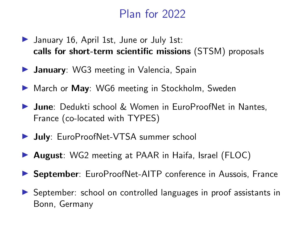## Plan for 2022

- $\blacktriangleright$  January 16, April 1st, June or July 1st: calls for short-term scientific missions (STSM) proposals
- $\triangleright$  January: WG3 meeting in Valencia, Spain
- ▶ March or May: WG6 meeting in Stockholm, Sweden
- ▶ June: Dedukti school & Women in EuroProofNet in Nantes, France (co-located with TYPES)
- **July**: EuroProofNet-VTSA summer school
- ▶ August: WG2 meeting at PAAR in Haifa, Israel (FLOC)
- ▶ September: EuroProofNet-AITP conference in Aussois, France
- ▶ September: school on controlled languages in proof assistants in Bonn, Germany